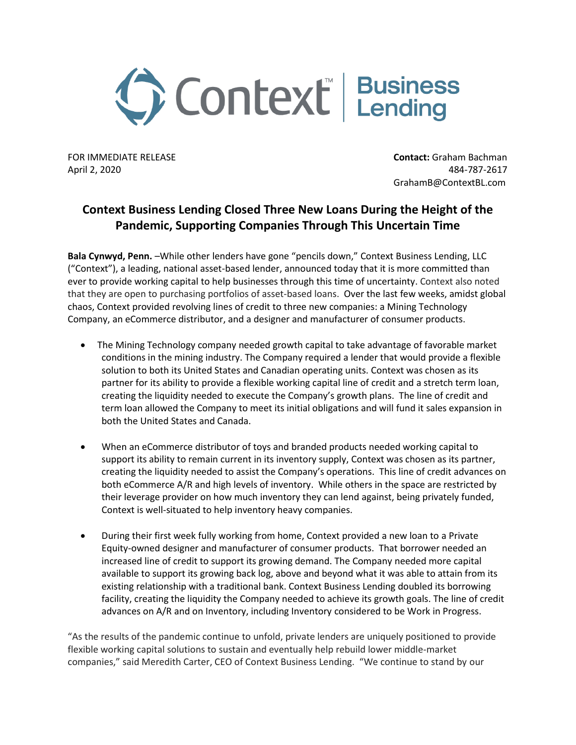

FOR IMMEDIATE RELEASE **Contact:** Graham Bachman April 2, 2020 484-787-2617 GrahamB@ContextBL.com

## **Context Business Lending Closed Three New Loans During the Height of the Pandemic, Supporting Companies Through This Uncertain Time**

**Bala Cynwyd, Penn.** –While other lenders have gone "pencils down," Context Business Lending, LLC ("Context"), a leading, national asset-based lender, announced today that it is more committed than ever to provide working capital to help businesses through this time of uncertainty. Context also noted that they are open to purchasing portfolios of asset-based loans. Over the last few weeks, amidst global chaos, Context provided revolving lines of credit to three new companies: a Mining Technology Company, an eCommerce distributor, and a designer and manufacturer of consumer products.

- The Mining Technology company needed growth capital to take advantage of favorable market conditions in the mining industry. The Company required a lender that would provide a flexible solution to both its United States and Canadian operating units. Context was chosen as its partner for its ability to provide a flexible working capital line of credit and a stretch term loan, creating the liquidity needed to execute the Company's growth plans. The line of credit and term loan allowed the Company to meet its initial obligations and will fund it sales expansion in both the United States and Canada.
- When an eCommerce distributor of toys and branded products needed working capital to support its ability to remain current in its inventory supply, Context was chosen as its partner, creating the liquidity needed to assist the Company's operations. This line of credit advances on both eCommerce A/R and high levels of inventory. While others in the space are restricted by their leverage provider on how much inventory they can lend against, being privately funded, Context is well-situated to help inventory heavy companies.
- During their first week fully working from home, Context provided a new loan to a Private Equity-owned designer and manufacturer of consumer products. That borrower needed an increased line of credit to support its growing demand. The Company needed more capital available to support its growing back log, above and beyond what it was able to attain from its existing relationship with a traditional bank. Context Business Lending doubled its borrowing facility, creating the liquidity the Company needed to achieve its growth goals. The line of credit advances on A/R and on Inventory, including Inventory considered to be Work in Progress.

"As the results of the pandemic continue to unfold, private lenders are uniquely positioned to provide flexible working capital solutions to sustain and eventually help rebuild lower middle-market companies," said Meredith Carter, CEO of Context Business Lending. "We continue to stand by our